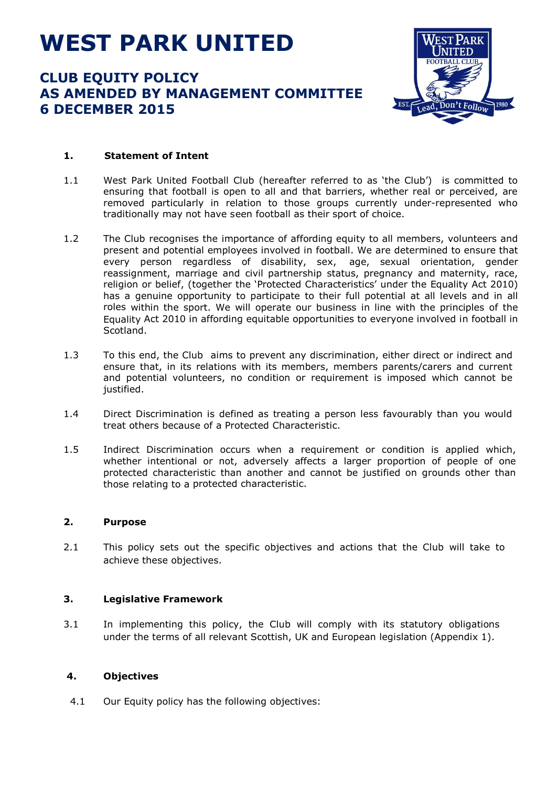# **WEST PARK UNITED**

## **CLUB EQUITY POLICY AS AMENDED BY MANAGEMENT COMMITTEE 6 DECEMBER 2015**



### **1. Statement of Intent**

- 1.1 West Park United Football Club (hereafter referred to as 'the Club') is committed to ensuring that football is open to all and that barriers, whether real or perceived, are removed particularly in relation to those groups currently under-represented who traditionally may not have seen football as their sport of choice.
- 1.2 The Club recognises the importance of affording equity to all members, volunteers and present and potential employees involved in football. We are determined to ensure that every person regardless of disability, sex, age, sexual orientation, gender reassignment, marriage and civil partnership status, pregnancy and maternity, race, religion or belief, (together the 'Protected Characteristics' under the Equality Act 2010) has a genuine opportunity to participate to their full potential at all levels and in all roles within the sport. We will operate our business in line with the principles of the Equality Act 2010 in affording equitable opportunities to everyone involved in football in Scotland.
- 1.3 To this end, the Club aims to prevent any discrimination, either direct or indirect and ensure that, in its relations with its members, members parents/carers and current and potential volunteers, no condition or requirement is imposed which cannot be justified.
- 1.4 Direct Discrimination is defined as treating a person less favourably than you would treat others because of a Protected Characteristic.
- 1.5 Indirect Discrimination occurs when a requirement or condition is applied which, whether intentional or not, adversely affects a larger proportion of people of one protected characteristic than another and cannot be justified on grounds other than those relating to a protected characteristic.

#### **2. Purpose**

2.1 This policy sets out the specific objectives and actions that the Club will take to achieve these objectives.

#### **3. Legislative Framework**

3.1 In implementing this policy, the Club will comply with its statutory obligations under the terms of all relevant Scottish, UK and European legislation (Appendix 1).

#### **4. Objectives**

4.1 Our Equity policy has the following objectives: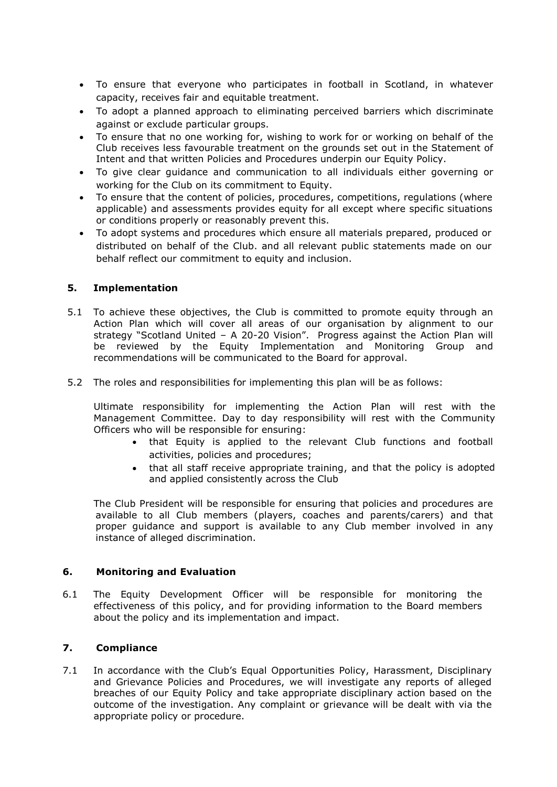- To ensure that everyone who participates in football in Scotland, in whatever capacity, receives fair and equitable treatment.
- To adopt a planned approach to eliminating perceived barriers which discriminate against or exclude particular groups.
- To ensure that no one working for, wishing to work for or working on behalf of the Club receives less favourable treatment on the grounds set out in the Statement of Intent and that written Policies and Procedures underpin our Equity Policy.
- To give clear guidance and communication to all individuals either governing or working for the Club on its commitment to Equity.
- To ensure that the content of policies, procedures, competitions, regulations (where applicable) and assessments provides equity for all except where specific situations or conditions properly or reasonably prevent this.
- To adopt systems and procedures which ensure all materials prepared, produced or distributed on behalf of the Club. and all relevant public statements made on our behalf reflect our commitment to equity and inclusion.

#### **5. Implementation**

- 5.1 To achieve these objectives, the Club is committed to promote equity through an Action Plan which will cover all areas of our organisation by alignment to our strategy "Scotland United – A 20-20 Vision". Progress against the Action Plan will be reviewed by the Equity Implementation and Monitoring Group and recommendations will be communicated to the Board for approval.
- 5.2 The roles and responsibilities for implementing this plan will be as follows:

Ultimate responsibility for implementing the Action Plan will rest with the Management Committee. Day to day responsibility will rest with the Community Officers who will be responsible for ensuring:

- that Equity is applied to the relevant Club functions and football activities, policies and procedures;
- that all staff receive appropriate training, and that the policy is adopted and applied consistently across the Club

The Club President will be responsible for ensuring that policies and procedures are available to all Club members (players, coaches and parents/carers) and that proper guidance and support is available to any Club member involved in any instance of alleged discrimination.

#### **6. Monitoring and Evaluation**

6.1 The Equity Development Officer will be responsible for monitoring the effectiveness of this policy, and for providing information to the Board members about the policy and its implementation and impact.

#### **7. Compliance**

7.1 In accordance with the Club's Equal Opportunities Policy, Harassment, Disciplinary and Grievance Policies and Procedures, we will investigate any reports of alleged breaches of our Equity Policy and take appropriate disciplinary action based on the outcome of the investigation. Any complaint or grievance will be dealt with via the appropriate policy or procedure.